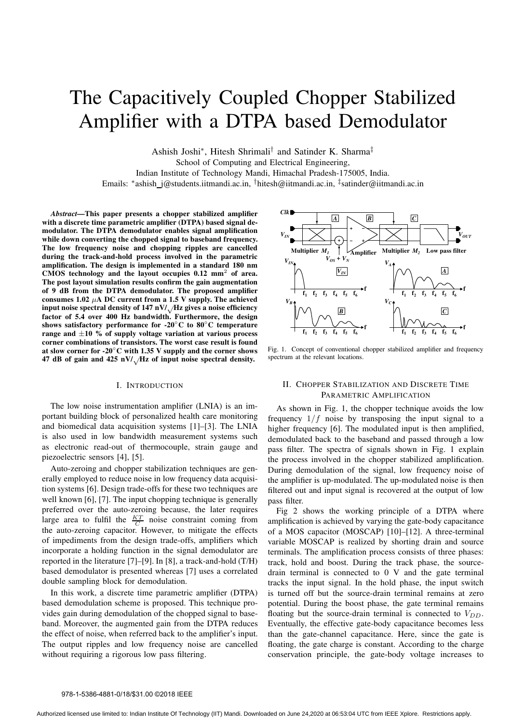# The Capacitively Coupled Chopper Stabilized Amplifier with a DTPA based Demodulator

Ashish Joshi∗ , Hitesh Shrimali† and Satinder K. Sharma‡ School of Computing and Electrical Engineering, Indian Institute of Technology Mandi, Himachal Pradesh-175005, India.

Emails: ∗ ashish j@students.iitmandi.ac.in, †hitesh@iitmandi.ac.in, ‡ satinder@iitmandi.ac.in

*Abstract***—This paper presents a chopper stabilized amplifier with a discrete time parametric amplifier (DTPA) based signal demodulator. The DTPA demodulator enables signal amplification while down converting the chopped signal to baseband frequency. The low frequency noise and chopping ripples are cancelled during the track-and-hold process involved in the parametric amplification. The design is implemented in a standard 180 nm CMOS technology and the layout occupies 0.12 mm**<sup>2</sup> **of area. The post layout simulation results confirm the gain augmentation of 9 dB from the DTPA demodulator. The proposed amplifier** consumes  $1.02 \mu A$  DC current from a 1.5 V supply. The achieved **input noise spectral density of 147 nV/**√**Hz gives a noise efficiency factor of 5.4 over 400 Hz bandwidth. Furthermore, the design shows satisfactory performance for -20**◦**C to 80**◦**C temperature range and** ±**10 % of supply voltage variation at various process corner combinations of transistors. The worst case result is found at slow corner for -20**◦**C with 1.35 V supply and the corner shows 47 dB of gain and 425 nV/**√**Hz of input noise spectral density.**

## I. INTRODUCTION

The low noise instrumentation amplifier (LNIA) is an important building block of personalized health care monitoring and biomedical data acquisition systems [1]–[3]. The LNIA is also used in low bandwidth measurement systems such as electronic read-out of thermocouple, strain gauge and piezoelectric sensors [4], [5].

Auto-zeroing and chopper stabilization techniques are generally employed to reduce noise in low frequency data acquisition systems [6]. Design trade-offs for these two techniques are well known [6], [7]. The input chopping technique is generally preferred over the auto-zeroing because, the later requires large area to fulfil the  $\frac{KT}{C}$  noise constraint coming from the auto-zeroing capacitor. However, to mitigate the effects of impediments from the design trade-offs, amplifiers which incorporate a holding function in the signal demodulator are reported in the literature [7]–[9]. In [8], a track-and-hold (T/H) based demodulator is presented whereas [7] uses a correlated double sampling block for demodulation.

In this work, a discrete time parametric amplifier (DTPA) based demodulation scheme is proposed. This technique provides gain during demodulation of the chopped signal to baseband. Moreover, the augmented gain from the DTPA reduces the effect of noise, when referred back to the amplifier's input. The output ripples and low frequency noise are cancelled without requiring a rigorous low pass filtering.



Fig. 1. Concept of conventional chopper stabilized amplifier and frequency spectrum at the relevant locations.

# II. CHOPPER STABILIZATION AND DISCRETE TIME PARAMETRIC AMPLIFICATION

As shown in Fig. 1, the chopper technique avoids the low frequency  $1/f$  noise by transposing the input signal to a higher frequency [6]. The modulated input is then amplified, demodulated back to the baseband and passed through a low pass filter. The spectra of signals shown in Fig. 1 explain the process involved in the chopper stabilized amplification. During demodulation of the signal, low frequency noise of the amplifier is up-modulated. The up-modulated noise is then filtered out and input signal is recovered at the output of low pass filter.

Fig 2 shows the working principle of a DTPA where amplification is achieved by varying the gate-body capacitance of a MOS capacitor (MOSCAP) [10]–[12]. A three-terminal variable MOSCAP is realized by shorting drain and source terminals. The amplification process consists of three phases: track, hold and boost. During the track phase, the sourcedrain terminal is connected to 0 V and the gate terminal tracks the input signal. In the hold phase, the input switch is turned off but the source-drain terminal remains at zero potential. During the boost phase, the gate terminal remains floating but the source-drain terminal is connected to  $V_{DD}$ . Eventually, the effective gate-body capacitance becomes less than the gate-channel capacitance. Here, since the gate is floating, the gate charge is constant. According to the charge conservation principle, the gate-body voltage increases to

#### 978-1-5386-4881-0/18/\$31.00 ©2018 IEEE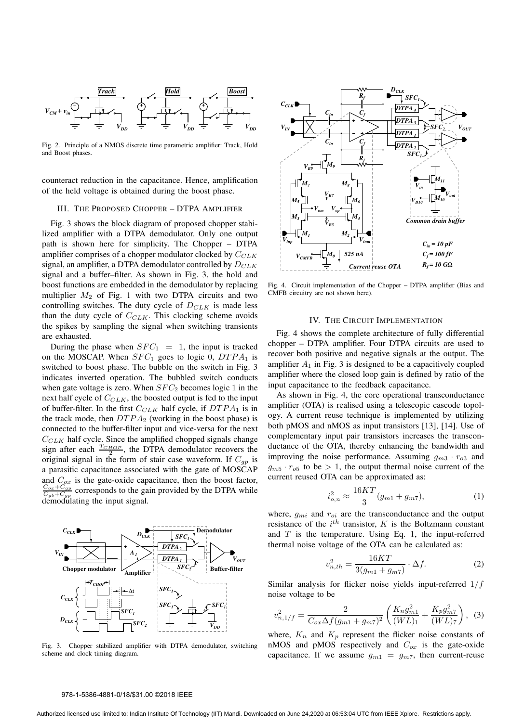

Fig. 2. Principle of a NMOS discrete time parametric amplifier: Track, Hold and Boost phases.

counteract reduction in the capacitance. Hence, amplification of the held voltage is obtained during the boost phase.

# III. THE PROPOSED CHOPPER – DTPA AMPLIFIER

Fig. 3 shows the block diagram of proposed chopper stabilized amplifier with a DTPA demodulator. Only one output path is shown here for simplicity. The Chopper – DTPA amplifier comprises of a chopper modulator clocked by  $C_{CLK}$ signal, an amplifier, a DTPA demodulator controlled by  $D_{CLK}$ signal and a buffer–filter. As shown in Fig. 3, the hold and boost functions are embedded in the demodulator by replacing multiplier  $M_2$  of Fig. 1 with two DTPA circuits and two controlling switches. The duty cycle of  $D_{CLK}$  is made less than the duty cycle of  $C_{CLK}$ . This clocking scheme avoids the spikes by sampling the signal when switching transients are exhausted.

During the phase when  $SFC_1 = 1$ , the input is tracked on the MOSCAP. When  $SFC_1$  goes to logic 0,  $DTPA_1$  is switched to boost phase. The bubble on the switch in Fig. 3 indicates inverted operation. The bubbled switch conducts when gate voltage is zero. When  $SFC_2$  becomes logic 1 in the next half cycle of  $C_{CLK}$ , the boosted output is fed to the input of buffer-filter. In the first  $C_{CLK}$  half cycle, if  $DTPA_1$  is in the track mode, then  $DTPA_2$  (working in the boost phase) is connected to the buffer-filter input and vice-versa for the next  $C_{CLK}$  half cycle. Since the amplified chopped signals change sign after each  $\frac{T_{CHOP}}{2}$ , the DTPA demodulator recovers the original signal in the form of stair case waveform. If  $C_{qp}$  is a parasitic capacitance associated with the gate of MOSCAP and  $C_{ox}$  is the gate-oxide capacitance, then the boost factor,<br>  $C_{ox} + C_{gp}$  corresponds to the gain provided by the DTPA while  $\frac{C_{gb}+C_{gp}}{C_{gb}+C_{gp}}$  corresponds to the gas  $\frac{c_{gp}}{c_{gp}}$  corresponds to the gain provided by the DTPA while



Fig. 3. Chopper stabilized amplifier with DTPA demodulator, switching scheme and clock timing diagram.



Fig. 4. Circuit implementation of the Chopper – DTPA amplifier (Bias and CMFB circuitry are not shown here).

# IV. THE CIRCUIT IMPLEMENTATION

Fig. 4 shows the complete architecture of fully differential chopper – DTPA amplifier. Four DTPA circuits are used to recover both positive and negative signals at the output. The amplifier  $A_1$  in Fig. 3 is designed to be a capacitively coupled amplifier where the closed loop gain is defined by ratio of the input capacitance to the feedback capacitance.

As shown in Fig. 4, the core operational transconductance amplifier (OTA) is realised using a telescopic cascode topology. A current reuse technique is implemented by utilizing both pMOS and nMOS as input transistors [13], [14]. Use of complementary input pair transistors increases the transconductance of the OTA, thereby enhancing the bandwidth and improving the noise performance. Assuming  $g_{m3} \cdot r_{o3}$  and  $g_{m5} \cdot r_{\text{o}5}$  to be  $> 1$ , the output thermal noise current of the current reused OTA can be approximated as:

$$
i_{o,n}^2 \approx \frac{16KT}{3}(g_{m1} + g_{m7}),\tag{1}
$$

where,  $g_{mi}$  and  $r_{oi}$  are the transconductance and the output resistance of the  $i^{th}$  transistor, K is the Boltzmann constant and  $T$  is the temperature. Using Eq. 1, the input-referred thermal noise voltage of the OTA can be calculated as:

$$
v_{n,th}^2 = \frac{16KT}{3(g_{m1} + g_{m7})} \cdot \Delta f.
$$
 (2)

Similar analysis for flicker noise yields input-referred  $1/f$ noise voltage to be

$$
v_{n,1/f}^2 = \frac{2}{C_{ox}\Delta f(g_{m1} + g_{m7})^2} \left(\frac{K_n g_{m1}^2}{(WL)_1} + \frac{K_p g_{m7}^2}{(WL)_7}\right), \tag{3}
$$

where,  $K_n$  and  $K_p$  represent the flicker noise constants of nMOS and pMOS respectively and  $C_{ox}$  is the gate-oxide capacitance. If we assume  $g_{m1} = g_{m7}$ , then current-reuse

## 978-1-5386-4881-0/18/\$31.00 ©2018 IEEE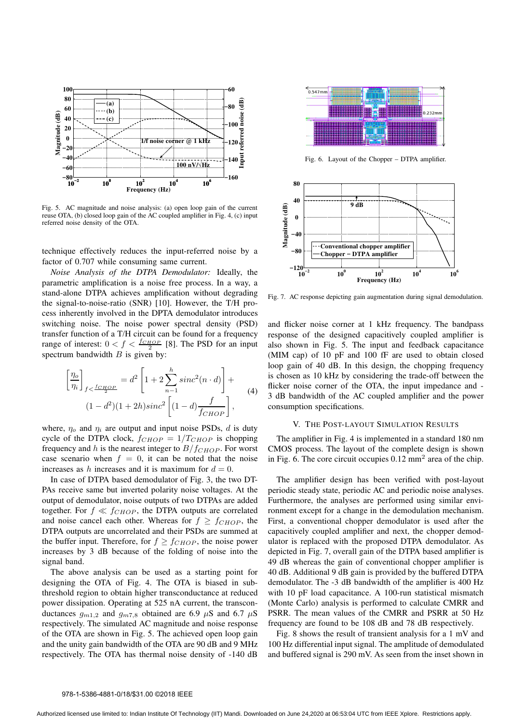

Fig. 5. AC magnitude and noise analysis: (a) open loop gain of the current reuse OTA, (b) closed loop gain of the AC coupled amplifier in Fig. 4, (c) input referred noise density of the OTA.

technique effectively reduces the input-referred noise by a factor of 0.707 while consuming same current.

*Noise Analysis of the DTPA Demodulator:* Ideally, the parametric amplification is a noise free process. In a way, a stand-alone DTPA achieves amplification without degrading the signal-to-noise-ratio (SNR) [10]. However, the T/H process inherently involved in the DPTA demodulator introduces switching noise. The noise power spectral density (PSD) transfer function of a T/H circuit can be found for a frequency range of interest:  $0 < f < \frac{f_{CHOP}}{2}$  [8]. The PSD for an input spectrum bandwidth  $B$  is given by:

$$
\left[\frac{\eta_o}{\eta_i}\right]_{f < \frac{f_{CHOP}}{2}} = d^2 \left[1 + 2\sum_{n-1}^h sinc^2(n \cdot d)\right] +
$$
  
(1 - d<sup>2</sup>)(1 + 2h) sinc<sup>2</sup> [(1 - d)  $\frac{f}{f_{CHOP}}\right],$  (4)

where,  $\eta_o$  and  $\eta_i$  are output and input noise PSDs, d is duty cycle of the DTPA clock,  $f_{CHOP} = 1/T_{CHOP}$  is chopping frequency and h is the nearest integer to  $B/f_{CHOP}$ . For worst case scenario when  $f = 0$ , it can be noted that the noise increases as h increases and it is maximum for  $d = 0$ .

In case of DTPA based demodulator of Fig. 3, the two DT-PAs receive same but inverted polarity noise voltages. At the output of demodulator, noise outputs of two DTPAs are added together. For  $f \ll f_{CHOP}$ , the DTPA outputs are correlated and noise cancel each other. Whereas for  $f > f_{CHOP}$ , the DTPA outputs are uncorrelated and their PSDs are summed at the buffer input. Therefore, for  $f \ge f_{CHOP}$ , the noise power increases by 3 dB because of the folding of noise into the signal band.

The above analysis can be used as a starting point for designing the OTA of Fig. 4. The OTA is biased in subthreshold region to obtain higher transconductance at reduced power dissipation. Operating at 525 nA current, the transconductances  $g_{m1,2}$  and  $g_{m7,8}$  obtained are 6.9  $\mu$ S and 6.7  $\mu$ S respectively. The simulated AC magnitude and noise response of the OTA are shown in Fig. 5. The achieved open loop gain and the unity gain bandwidth of the OTA are 90 dB and 9 MHz respectively. The OTA has thermal noise density of -140 dB



Fig. 6. Layout of the Chopper – DTPA amplifier.



Fig. 7. AC response depicting gain augmentation during signal demodulation.

and flicker noise corner at 1 kHz frequency. The bandpass response of the designed capacitively coupled amplifier is also shown in Fig. 5. The input and feedback capacitance (MIM cap) of 10 pF and 100 fF are used to obtain closed loop gain of 40 dB. In this design, the chopping frequency is chosen as 10 kHz by considering the trade-off between the flicker noise corner of the OTA, the input impedance and - 3 dB bandwidth of the AC coupled amplifier and the power consumption specifications.

## V. THE POST-LAYOUT SIMULATION RESULTS

The amplifier in Fig. 4 is implemented in a standard 180 nm CMOS process. The layout of the complete design is shown in Fig. 6. The core circuit occupies  $0.12 \text{ mm}^2$  area of the chip.

The amplifier design has been verified with post-layout periodic steady state, periodic AC and periodic noise analyses. Furthermore, the analyses are performed using similar environment except for a change in the demodulation mechanism. First, a conventional chopper demodulator is used after the capacitively coupled amplifier and next, the chopper demodulator is replaced with the proposed DTPA demodulator. As depicted in Fig. 7, overall gain of the DTPA based amplifier is 49 dB whereas the gain of conventional chopper amplifier is 40 dB. Additional 9 dB gain is provided by the buffered DTPA demodulator. The -3 dB bandwidth of the amplifier is 400 Hz with 10 pF load capacitance. A 100-run statistical mismatch (Monte Carlo) analysis is performed to calculate CMRR and PSRR. The mean values of the CMRR and PSRR at 50 Hz frequency are found to be 108 dB and 78 dB respectively.

Fig. 8 shows the result of transient analysis for a 1 mV and 100 Hz differential input signal. The amplitude of demodulated and buffered signal is 290 mV. As seen from the inset shown in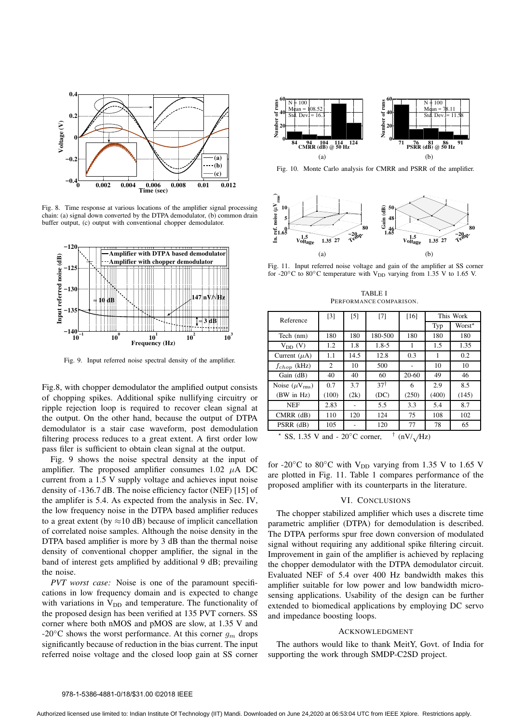

Fig. 8. Time response at various locations of the amplifier signal processing chain: (a) signal down converted by the DTPA demodulator, (b) common drain buffer output, (c) output with conventional chopper demodulator.



Fig. 9. Input referred noise spectral density of the amplifier.

Fig.8, with chopper demodulator the amplified output consists of chopping spikes. Additional spike nullifying circuitry or ripple rejection loop is required to recover clean signal at the output. On the other hand, because the output of DTPA demodulator is a stair case waveform, post demodulation filtering process reduces to a great extent. A first order low pass filer is sufficient to obtain clean signal at the output.

Fig. 9 shows the noise spectral density at the input of amplifier. The proposed amplifier consumes  $1.02 \mu A$  DC current from a 1.5 V supply voltage and achieves input noise density of -136.7 dB. The noise efficiency factor (NEF) [15] of the amplifer is 5.4. As expected from the analysis in Sec. IV, the low frequency noise in the DTPA based amplifier reduces to a great extent (by  $\approx$ 10 dB) because of implicit cancellation of correlated noise samples. Although the noise density in the DTPA based amplifier is more by 3 dB than the thermal noise density of conventional chopper amplifier, the signal in the band of interest gets amplified by additional 9 dB; prevailing the noise.

*PVT worst case:* Noise is one of the paramount specifications in low frequency domain and is expected to change with variations in  $V_{DD}$  and temperature. The functionality of the proposed design has been verified at 135 PVT corners. SS corner where both nMOS and pMOS are slow, at 1.35 V and -20 $\degree$ C shows the worst performance. At this corner  $q_m$  drops significantly because of reduction in the bias current. The input referred noise voltage and the closed loop gain at SS corner



Fig. 10. Monte Carlo analysis for CMRR and PSRR of the amplifier.



Fig. 11. Input referred noise voltage and gain of the amplifier at SS corner for -20 $\rm{^{\circ}C}$  to 80 $\rm{^{\circ}C}$  temperature with V<sub>DD</sub> varying from 1.35 V to 1.65 V.

TABLE I PERFORMANCE COMPARISON.

| Reference                                                                | $[3]$ | $[5]$ | [7]            | $[16]$    | This Work |                    |
|--------------------------------------------------------------------------|-------|-------|----------------|-----------|-----------|--------------------|
|                                                                          |       |       |                |           | Typ       | Worst <sup>*</sup> |
| Tech (nm)                                                                | 180   | 180   | 180-500        | 180       | 180       | 180                |
| $V_{DD} (V)$                                                             | 1.2   | 1.8   | $1.8 - 5$      | 1         | 1.5       | 1.35               |
| Current $(\mu A)$                                                        | 1.1   | 14.5  | 12.8           | 0.3       | 1         | 0.2                |
| $f_{chop}$ (kHz)                                                         | 2     | 10    | 500            |           | 10        | 10                 |
| Gain (dB)                                                                | 40    | 40    | 60             | $20 - 60$ | 49        | 46                 |
| Noise $(\mu V_{rms})$                                                    | 0.7   | 3.7   | $37^{\dagger}$ | 6         | 2.9       | 8.5                |
| (BW in Hz)                                                               | (100) | (2k)  | (DC)           | (250)     | (400)     | (145)              |
| <b>NEF</b>                                                               | 2.83  |       | 5.5            | 3.3       | 5.4       | 8.7                |
| $CMRR$ ( $dB$ )                                                          | 110   | 120   | 124            | 75        | 108       | 102                |
| PSRR (dB)                                                                | 105   |       | 120            | 77        | 78        | 65                 |
| $22 \times$<br>$20^{\circ}C$ corner<br>$1.25$ V and<br>(MII)<br>$\Delta$ |       |       |                |           |           |                    |

SS, 1.35 V and  $-20^{\circ}$ C corner,  $(nV/\sqrt{Hz})$ 

for -20 $\rm ^{\circ}C$  to 80 $\rm ^{\circ}C$  with V<sub>DD</sub> varying from 1.35 V to 1.65 V are plotted in Fig. 11. Table 1 compares performance of the proposed amplifier with its counterparts in the literature.

#### VI. CONCLUSIONS

The chopper stabilized amplifier which uses a discrete time parametric amplifier (DTPA) for demodulation is described. The DTPA performs spur free down conversion of modulated signal without requiring any additional spike filtering circuit. Improvement in gain of the amplifier is achieved by replacing the chopper demodulator with the DTPA demodulator circuit. Evaluated NEF of 5.4 over 400 Hz bandwidth makes this amplifier suitable for low power and low bandwidth microsensing applications. Usability of the design can be further extended to biomedical applications by employing DC servo and impedance boosting loops.

#### ACKNOWLEDGMENT

The authors would like to thank MeitY, Govt. of India for supporting the work through SMDP-C2SD project.